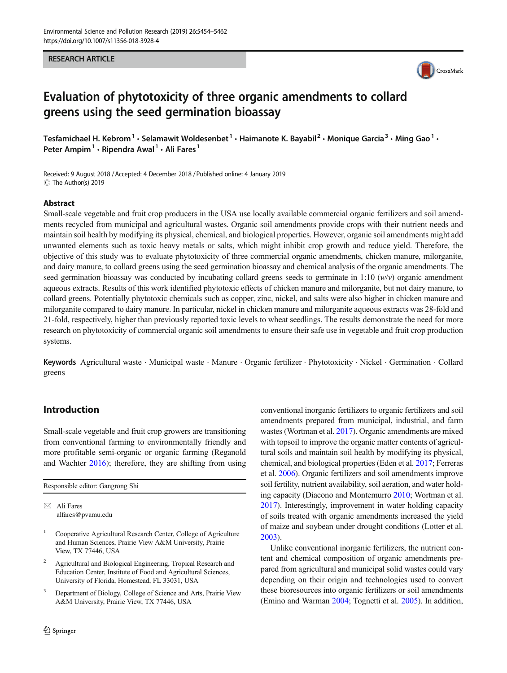#### RESEARCH ARTICLE



# Evaluation of phytotoxicity of three organic amendments to collard greens using the seed germination bioassay

Tesfamichael H. Kebrom<sup>1</sup> · Selamawit Woldesenbet<sup>1</sup> · Haimanote K. Bayabil<sup>2</sup> · Monique Garcia<sup>3</sup> · Ming Gao<sup>1</sup> · Peter Ampim<sup>1</sup>  $\cdot$  Ripendra Awal<sup>1</sup>  $\cdot$  Ali Fares<sup>1</sup>

Received: 9 August 2018 / Accepted: 4 December 2018 /Published online: 4 January 2019  $\circledcirc$  The Author(s) 2019

#### Abstract

Small-scale vegetable and fruit crop producers in the USA use locally available commercial organic fertilizers and soil amendments recycled from municipal and agricultural wastes. Organic soil amendments provide crops with their nutrient needs and maintain soil health by modifying its physical, chemical, and biological properties. However, organic soil amendments might add unwanted elements such as toxic heavy metals or salts, which might inhibit crop growth and reduce yield. Therefore, the objective of this study was to evaluate phytotoxicity of three commercial organic amendments, chicken manure, milorganite, and dairy manure, to collard greens using the seed germination bioassay and chemical analysis of the organic amendments. The seed germination bioassay was conducted by incubating collard greens seeds to germinate in 1:10  $(w/v)$  organic amendment aqueous extracts. Results of this work identified phytotoxic effects of chicken manure and milorganite, but not dairy manure, to collard greens. Potentially phytotoxic chemicals such as copper, zinc, nickel, and salts were also higher in chicken manure and milorganite compared to dairy manure. In particular, nickel in chicken manure and milorganite aqueous extracts was 28-fold and 21-fold, respectively, higher than previously reported toxic levels to wheat seedlings. The results demonstrate the need for more research on phytotoxicity of commercial organic soil amendments to ensure their safe use in vegetable and fruit crop production systems.

Keywords Agricultural waste . Municipal waste . Manure . Organic fertilizer . Phytotoxicity . Nickel . Germination . Collard greens

## Introduction

Small-scale vegetable and fruit crop growers are transitioning from conventional farming to environmentally friendly and more profitable semi-organic or organic farming (Reganold and Wachter [2016\)](#page-8-0); therefore, they are shifting from using

Responsible editor: Gangrong Shi

 $\boxtimes$  Ali Fares [alfares@pvamu.edu](mailto:alfares@pvamu.edu)

- <sup>1</sup> Cooperative Agricultural Research Center, College of Agriculture and Human Sciences, Prairie View A&M University, Prairie View, TX 77446, USA
- <sup>2</sup> Agricultural and Biological Engineering, Tropical Research and Education Center, Institute of Food and Agricultural Sciences, University of Florida, Homestead, FL 33031, USA
- <sup>3</sup> Department of Biology, College of Science and Arts, Prairie View A&M University, Prairie View, TX 77446, USA

conventional inorganic fertilizers to organic fertilizers and soil amendments prepared from municipal, industrial, and farm wastes (Wortman et al. [2017\)](#page-8-0). Organic amendments are mixed with topsoil to improve the organic matter contents of agricultural soils and maintain soil health by modifying its physical, chemical, and biological properties (Eden et al. [2017](#page-8-0); Ferreras et al. [2006\)](#page-8-0). Organic fertilizers and soil amendments improve soil fertility, nutrient availability, soil aeration, and water holding capacity (Diacono and Montemurro [2010;](#page-8-0) Wortman et al. [2017\)](#page-8-0). Interestingly, improvement in water holding capacity of soils treated with organic amendments increased the yield of maize and soybean under drought conditions (Lotter et al. [2003\)](#page-8-0).

Unlike conventional inorganic fertilizers, the nutrient content and chemical composition of organic amendments prepared from agricultural and municipal solid wastes could vary depending on their origin and technologies used to convert these bioresources into organic fertilizers or soil amendments (Emino and Warman [2004;](#page-8-0) Tognetti et al. [2005](#page-8-0)). In addition,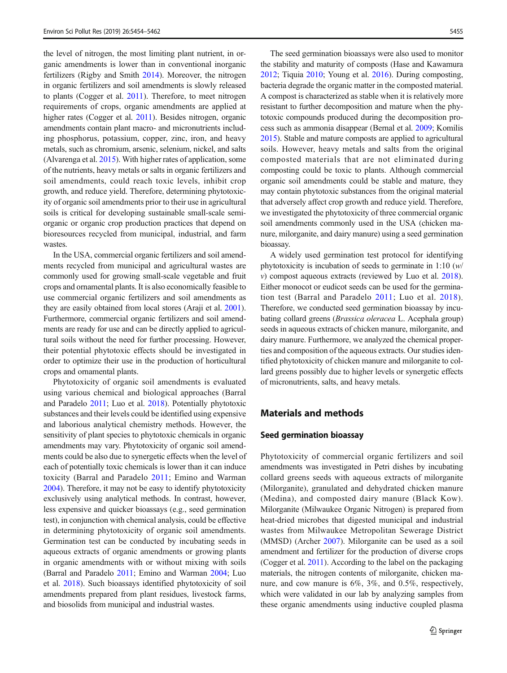<span id="page-1-0"></span>the level of nitrogen, the most limiting plant nutrient, in organic amendments is lower than in conventional inorganic fertilizers (Rigby and Smith [2014](#page-8-0)). Moreover, the nitrogen in organic fertilizers and soil amendments is slowly released to plants (Cogger et al. [2011\)](#page-8-0). Therefore, to meet nitrogen requirements of crops, organic amendments are applied at higher rates (Cogger et al. [2011](#page-8-0)). Besides nitrogen, organic amendments contain plant macro- and micronutrients including phosphorus, potassium, copper, zinc, iron, and heavy metals, such as chromium, arsenic, selenium, nickel, and salts (Alvarenga et al. [2015](#page-7-0)). With higher rates of application, some of the nutrients, heavy metals or salts in organic fertilizers and soil amendments, could reach toxic levels, inhibit crop growth, and reduce yield. Therefore, determining phytotoxicity of organic soil amendments prior to their use in agricultural soils is critical for developing sustainable small-scale semiorganic or organic crop production practices that depend on bioresources recycled from municipal, industrial, and farm wastes.

In the USA, commercial organic fertilizers and soil amendments recycled from municipal and agricultural wastes are commonly used for growing small-scale vegetable and fruit crops and ornamental plants. It is also economically feasible to use commercial organic fertilizers and soil amendments as they are easily obtained from local stores (Araji et al. [2001\)](#page-7-0). Furthermore, commercial organic fertilizers and soil amendments are ready for use and can be directly applied to agricultural soils without the need for further processing. However, their potential phytotoxic effects should be investigated in order to optimize their use in the production of horticultural crops and ornamental plants.

Phytotoxicity of organic soil amendments is evaluated using various chemical and biological approaches (Barral and Paradelo [2011](#page-8-0); Luo et al. [2018](#page-8-0)). Potentially phytotoxic substances and their levels could be identified using expensive and laborious analytical chemistry methods. However, the sensitivity of plant species to phytotoxic chemicals in organic amendments may vary. Phytotoxicity of organic soil amendments could be also due to synergetic effects when the level of each of potentially toxic chemicals is lower than it can induce toxicity (Barral and Paradelo [2011](#page-8-0); Emino and Warman [2004\)](#page-8-0). Therefore, it may not be easy to identify phytotoxicity exclusively using analytical methods. In contrast, however, less expensive and quicker bioassays (e.g., seed germination test), in conjunction with chemical analysis, could be effective in determining phytotoxicity of organic soil amendments. Germination test can be conducted by incubating seeds in aqueous extracts of organic amendments or growing plants in organic amendments with or without mixing with soils (Barral and Paradelo [2011;](#page-8-0) Emino and Warman [2004;](#page-8-0) Luo et al. [2018](#page-8-0)). Such bioassays identified phytotoxicity of soil amendments prepared from plant residues, livestock farms, and biosolids from municipal and industrial wastes.

The seed germination bioassays were also used to monitor the stability and maturity of composts (Hase and Kawamura [2012;](#page-8-0) Tiquia [2010](#page-8-0); Young et al. [2016\)](#page-8-0). During composting, bacteria degrade the organic matter in the composted material. A compost is characterized as stable when it is relatively more resistant to further decomposition and mature when the phytotoxic compounds produced during the decomposition process such as ammonia disappear (Bernal et al. [2009;](#page-8-0) Komilis [2015\)](#page-8-0). Stable and mature composts are applied to agricultural soils. However, heavy metals and salts from the original composted materials that are not eliminated during composting could be toxic to plants. Although commercial organic soil amendments could be stable and mature, they may contain phytotoxic substances from the original material that adversely affect crop growth and reduce yield. Therefore, we investigated the phytotoxicity of three commercial organic soil amendments commonly used in the USA (chicken manure, milorganite, and dairy manure) using a seed germination bioassay.

A widely used germination test protocol for identifying phytotoxicity is incubation of seeds to germinate in 1:10 (w/ v) compost aqueous extracts (reviewed by Luo et al. [2018\)](#page-8-0). Either monocot or eudicot seeds can be used for the germination test (Barral and Paradelo [2011](#page-8-0); Luo et al. [2018](#page-8-0)). Therefore, we conducted seed germination bioassay by incubating collard greens (Brassica oleracea L. Acephala group) seeds in aqueous extracts of chicken manure, milorganite, and dairy manure. Furthermore, we analyzed the chemical properties and composition of the aqueous extracts. Our studies identified phytotoxicity of chicken manure and milorganite to collard greens possibly due to higher levels or synergetic effects of micronutrients, salts, and heavy metals.

# Materials and methods

#### Seed germination bioassay

Phytotoxicity of commercial organic fertilizers and soil amendments was investigated in Petri dishes by incubating collard greens seeds with aqueous extracts of milorganite (Milorganite), granulated and dehydrated chicken manure (Medina), and composted dairy manure (Black Kow). Milorganite (Milwaukee Organic Nitrogen) is prepared from heat-dried microbes that digested municipal and industrial wastes from Milwaukee Metropolitan Sewerage District (MMSD) (Archer [2007\)](#page-7-0). Milorganite can be used as a soil amendment and fertilizer for the production of diverse crops (Cogger et al. [2011\)](#page-8-0). According to the label on the packaging materials, the nitrogen contents of milorganite, chicken manure, and cow manure is 6%, 3%, and 0.5%, respectively, which were validated in our lab by analyzing samples from these organic amendments using inductive coupled plasma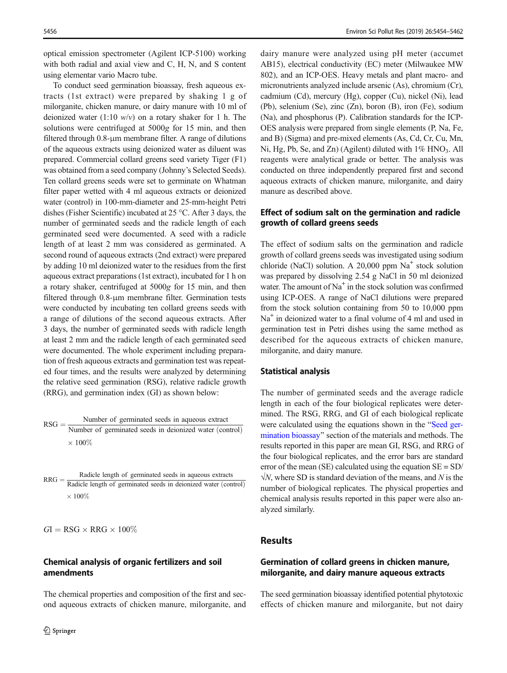optical emission spectrometer (Agilent ICP-5100) working with both radial and axial view and C, H, N, and S content using elementar vario Macro tube.

To conduct seed germination bioassay, fresh aqueous extracts (1st extract) were prepared by shaking 1 g of milorganite, chicken manure, or dairy manure with 10 ml of deionized water (1:10  $w/v$ ) on a rotary shaker for 1 h. The solutions were centrifuged at  $5000g$  for 15 min, and then filtered through 0.8-μm membrane filter. A range of dilutions of the aqueous extracts using deionized water as diluent was prepared. Commercial collard greens seed variety Tiger (F1) was obtained from a seed company (Johnny's Selected Seeds). Ten collard greens seeds were set to germinate on Whatman filter paper wetted with 4 ml aqueous extracts or deionized water (control) in 100-mm-diameter and 25-mm-height Petri dishes (Fisher Scientific) incubated at 25 °C. After 3 days, the number of germinated seeds and the radicle length of each germinated seed were documented. A seed with a radicle length of at least 2 mm was considered as germinated. A second round of aqueous extracts (2nd extract) were prepared by adding 10 ml deionized water to the residues from the first aqueous extract preparations (1st extract), incubated for 1 h on a rotary shaker, centrifuged at 5000g for 15 min, and then filtered through 0.8-μm membrane filter. Germination tests were conducted by incubating ten collard greens seeds with a range of dilutions of the second aqueous extracts. After 3 days, the number of germinated seeds with radicle length at least 2 mm and the radicle length of each germinated seed were documented. The whole experiment including preparation of fresh aqueous extracts and germination test was repeated four times, and the results were analyzed by determining the relative seed germination (RSG), relative radicle growth (RRG), and germination index (GI) as shown below:

$$
RSG = \frac{\text{Number of germinated seeds in aqueous extract}}{\text{Number of germinated seeds in deionized water (control)}} \times 100\%
$$

 $RRG =$  Radicle length of germinated seeds in aqueous extracts  $RRG =$  Radicle length of germinated seeds in deionized water (control)  $\times$  100%

 $GI = RSG \times RRG \times 100\%$ 

### Chemical analysis of organic fertilizers and soil amendments

The chemical properties and composition of the first and second aqueous extracts of chicken manure, milorganite, and dairy manure were analyzed using pH meter (accumet AB15), electrical conductivity (EC) meter (Milwaukee MW 802), and an ICP-OES. Heavy metals and plant macro- and micronutrients analyzed include arsenic (As), chromium (Cr), cadmium (Cd), mercury (Hg), copper (Cu), nickel (Ni), lead (Pb), selenium (Se), zinc (Zn), boron (B), iron (Fe), sodium (Na), and phosphorus (P). Calibration standards for the ICP-OES analysis were prepared from single elements (P, Na, Fe, and B) (Sigma) and pre-mixed elements (As, Cd, Cr, Cu, Mn, Ni, Hg, Pb, Se, and Zn) (Agilent) diluted with  $1\%$  HNO<sub>3</sub>. All reagents were analytical grade or better. The analysis was conducted on three independently prepared first and second aqueous extracts of chicken manure, milorganite, and dairy manure as described above.

## Effect of sodium salt on the germination and radicle growth of collard greens seeds

The effect of sodium salts on the germination and radicle growth of collard greens seeds was investigated using sodium chloride (NaCl) solution. A  $20,000$  ppm Na<sup>+</sup> stock solution was prepared by dissolving 2.54 g NaCl in 50 ml deionized water. The amount of  $Na<sup>+</sup>$  in the stock solution was confirmed using ICP-OES. A range of NaCl dilutions were prepared from the stock solution containing from 50 to 10,000 ppm Na<sup>+</sup> in deionized water to a final volume of 4 ml and used in germination test in Petri dishes using the same method as described for the aqueous extracts of chicken manure, milorganite, and dairy manure.

#### Statistical analysis

The number of germinated seeds and the average radicle length in each of the four biological replicates were determined. The RSG, RRG, and GI of each biological replicate were calculated using the equations shown in the "[Seed ger](#page-1-0)[mination bioassay](#page-1-0)" section of the materials and methods. The results reported in this paper are mean GI, RSG, and RRG of the four biological replicates, and the error bars are standard error of the mean (SE) calculated using the equation  $SE = SD/$  $\sqrt{N}$ , where SD is standard deviation of the means, and N is the number of biological replicates. The physical properties and chemical analysis results reported in this paper were also analyzed similarly.

## Results

## Germination of collard greens in chicken manure, milorganite, and dairy manure aqueous extracts

The seed germination bioassay identified potential phytotoxic effects of chicken manure and milorganite, but not dairy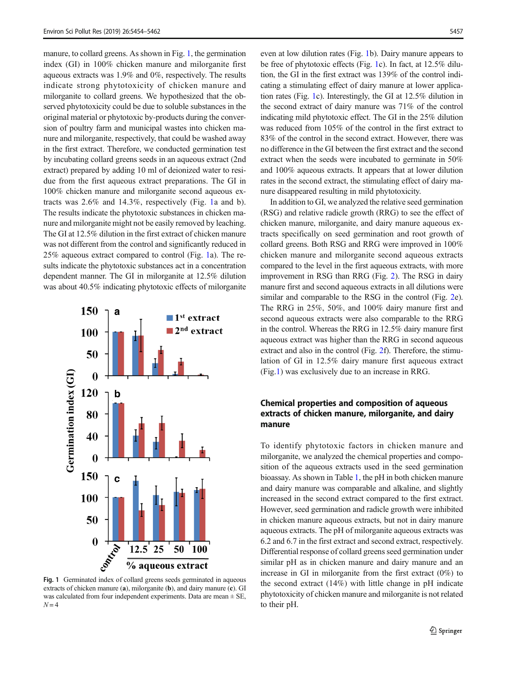<span id="page-3-0"></span>manure, to collard greens. As shown in Fig. 1, the germination index (GI) in 100% chicken manure and milorganite first aqueous extracts was 1.9% and 0%, respectively. The results indicate strong phytotoxicity of chicken manure and milorganite to collard greens. We hypothesized that the observed phytotoxicity could be due to soluble substances in the original material or phytotoxic by-products during the conversion of poultry farm and municipal wastes into chicken manure and milorganite, respectively, that could be washed away in the first extract. Therefore, we conducted germination test by incubating collard greens seeds in an aqueous extract (2nd extract) prepared by adding 10 ml of deionized water to residue from the first aqueous extract preparations. The GI in 100% chicken manure and milorganite second aqueous extracts was 2.6% and 14.3%, respectively (Fig. 1a and b). The results indicate the phytotoxic substances in chicken manure and milorganite might not be easily removed by leaching. The GI at 12.5% dilution in the first extract of chicken manure was not different from the control and significantly reduced in 25% aqueous extract compared to control (Fig. 1a). The results indicate the phytotoxic substances act in a concentration dependent manner. The GI in milorganite at 12.5% dilution was about 40.5% indicating phytotoxic effects of milorganite



extracts of chicken manure (a), milorganite (b), and dairy manure (c). GI was calculated from four independent experiments. Data are mean  $\pm$  SE,  $N = 4$ 

even at low dilution rates (Fig. 1b). Dairy manure appears to be free of phytotoxic effects (Fig. 1c). In fact, at 12.5% dilution, the GI in the first extract was 139% of the control indicating a stimulating effect of dairy manure at lower application rates (Fig. 1c). Interestingly, the GI at 12.5% dilution in the second extract of dairy manure was 71% of the control indicating mild phytotoxic effect. The GI in the 25% dilution was reduced from 105% of the control in the first extract to 83% of the control in the second extract. However, there was no difference in the GI between the first extract and the second extract when the seeds were incubated to germinate in 50% and 100% aqueous extracts. It appears that at lower dilution rates in the second extract, the stimulating effect of dairy manure disappeared resulting in mild phytotoxicity.

In addition to GI, we analyzed the relative seed germination (RSG) and relative radicle growth (RRG) to see the effect of chicken manure, milorganite, and dairy manure aqueous extracts specifically on seed germination and root growth of collard greens. Both RSG and RRG were improved in 100% chicken manure and milorganite second aqueous extracts compared to the level in the first aqueous extracts, with more improvement in RSG than RRG (Fig. [2](#page-4-0)). The RSG in dairy manure first and second aqueous extracts in all dilutions were similar and comparable to the RSG in the control (Fig. [2](#page-4-0)e). The RRG in 25%, 50%, and 100% dairy manure first and second aqueous extracts were also comparable to the RRG in the control. Whereas the RRG in 12.5% dairy manure first aqueous extract was higher than the RRG in second aqueous extract and also in the control (Fig. [2f](#page-4-0)). Therefore, the stimulation of GI in 12.5% dairy manure first aqueous extract (Fig.1) was exclusively due to an increase in RRG.

# Chemical properties and composition of aqueous extracts of chicken manure, milorganite, and dairy manure

To identify phytotoxic factors in chicken manure and milorganite, we analyzed the chemical properties and composition of the aqueous extracts used in the seed germination bioassay. As shown in Table [1,](#page-4-0) the pH in both chicken manure and dairy manure was comparable and alkaline, and slightly increased in the second extract compared to the first extract. However, seed germination and radicle growth were inhibited in chicken manure aqueous extracts, but not in dairy manure aqueous extracts. The pH of milorganite aqueous extracts was 6.2 and 6.7 in the first extract and second extract, respectively. Differential response of collard greens seed germination under similar pH as in chicken manure and dairy manure and an increase in GI in milorganite from the first extract (0%) to the second extract (14%) with little change in pH indicate phytotoxicity of chicken manure and milorganite is not related to their pH.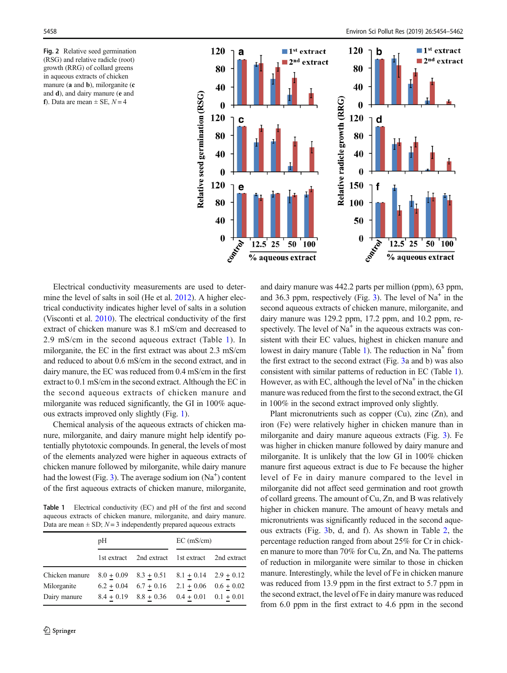<span id="page-4-0"></span>Fig. 2 Relative seed germination (RSG) and relative radicle (root) growth (RRG) of collard greens in aqueous extracts of chicken manure (**a** and **b**), milorganite (**c** and d), and dairy manure (e and f). Data are mean  $\pm$  SE,  $N = 4$ 



Electrical conductivity measurements are used to determine the level of salts in soil (He et al. [2012\)](#page-8-0). A higher electrical conductivity indicates higher level of salts in a solution (Visconti et al. [2010](#page-8-0)). The electrical conductivity of the first extract of chicken manure was 8.1 mS/cm and decreased to 2.9 mS/cm in the second aqueous extract (Table 1). In milorganite, the EC in the first extract was about 2.3 mS/cm and reduced to about 0.6 mS/cm in the second extract, and in dairy manure, the EC was reduced from 0.4 mS/cm in the first extract to 0.1 mS/cm in the second extract. Although the EC in the second aqueous extracts of chicken manure and milorganite was reduced significantly, the GI in 100% aqueous extracts improved only slightly (Fig. [1](#page-3-0)).

Chemical analysis of the aqueous extracts of chicken manure, milorganite, and dairy manure might help identify potentially phytotoxic compounds. In general, the levels of most of the elements analyzed were higher in aqueous extracts of chicken manure followed by milorganite, while dairy manure had the lowest (Fig. [3](#page-5-0)). The average sodium ion  $(Na^+)$  content of the first aqueous extracts of chicken manure, milorganite,

Table 1 Electrical conductivity (EC) and pH of the first and second aqueous extracts of chicken manure, milorganite, and dairy manure. Data are mean  $\pm$  SD;  $N = 3$  independently prepared aqueous extracts

|                | pH |                                                     | $EC$ (mS/cm) |  |
|----------------|----|-----------------------------------------------------|--------------|--|
|                |    | 1st extract 2nd extract 1st extract 2nd extract     |              |  |
| Chicken manure |    | $8.0 + 0.09$ $8.3 + 0.51$ $8.1 + 0.14$ $2.9 + 0.12$ |              |  |
| Milorganite    |    | $6.2 + 0.04$ $6.7 + 0.16$ $2.1 + 0.06$ $0.6 + 0.02$ |              |  |
| Dairy manure   |    | $8.4 + 0.19$ $8.8 + 0.36$ $0.4 + 0.01$ $0.1 + 0.01$ |              |  |

and dairy manure was 442.2 parts per million (ppm), 63 ppm, and 36.3 ppm, respectively (Fig.  $3$ ). The level of Na<sup>+</sup> in the second aqueous extracts of chicken manure, milorganite, and dairy manure was 129.2 ppm, 17.2 ppm, and 10.2 ppm, respectively. The level of  $Na<sup>+</sup>$  in the aqueous extracts was consistent with their EC values, highest in chicken manure and lowest in dairy manure (Table 1). The reduction in  $Na<sup>+</sup>$  from the first extract to the second extract (Fig. [3](#page-5-0)a and b) was also consistent with similar patterns of reduction in EC (Table 1). However, as with EC, although the level of  $Na<sup>+</sup>$  in the chicken manure was reduced from the first to the second extract, the GI in 100% in the second extract improved only slightly.

Plant micronutrients such as copper (Cu), zinc (Zn), and iron (Fe) were relatively higher in chicken manure than in milorganite and dairy manure aqueous extracts (Fig. [3](#page-5-0)). Fe was higher in chicken manure followed by dairy manure and milorganite. It is unlikely that the low GI in 100% chicken manure first aqueous extract is due to Fe because the higher level of Fe in dairy manure compared to the level in milorganite did not affect seed germination and root growth of collard greens. The amount of Cu, Zn, and B was relatively higher in chicken manure. The amount of heavy metals and micronutrients was significantly reduced in the second aqueous extracts (Fig. [3b](#page-5-0), d, and f). As shown in Table [2,](#page-5-0) the percentage reduction ranged from about 25% for Cr in chicken manure to more than 70% for Cu, Zn, and Na. The patterns of reduction in milorganite were similar to those in chicken manure. Interestingly, while the level of Fe in chicken manure was reduced from 13.9 ppm in the first extract to 5.7 ppm in the second extract, the level of Fe in dairy manure was reduced from 6.0 ppm in the first extract to 4.6 ppm in the second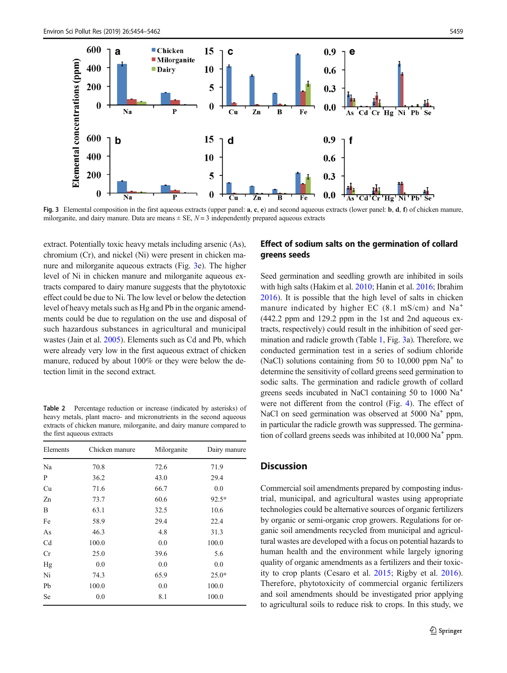<span id="page-5-0"></span>

Fig. 3 Elemental composition in the first aqueous extracts (upper panel:  $a, c, e$ ) and second aqueous extracts (lower panel: b, d, f) of chicken manure, milorganite, and dairy manure. Data are means  $\pm$  SE,  $N=3$  independently prepared aqueous extracts

extract. Potentially toxic heavy metals including arsenic (As), chromium (Cr), and nickel (Ni) were present in chicken manure and milorganite aqueous extracts (Fig. 3e). The higher level of Ni in chicken manure and milorganite aqueous extracts compared to dairy manure suggests that the phytotoxic effect could be due to Ni. The low level or below the detection level of heavy metals such as Hg and Pb in the organic amendments could be due to regulation on the use and disposal of such hazardous substances in agricultural and municipal wastes (Jain et al. [2005\)](#page-8-0). Elements such as Cd and Pb, which were already very low in the first aqueous extract of chicken manure, reduced by about 100% or they were below the detection limit in the second extract.

Table 2 Percentage reduction or increase (indicated by asterisks) of heavy metals, plant macro- and micronutrients in the second aqueous extracts of chicken manure, milorganite, and dairy manure compared to the first aqueous extracts

| Elements | Chicken manure | Milorganite | Dairy manure |
|----------|----------------|-------------|--------------|
| Na       | 70.8           | 72.6        | 71.9         |
| P        | 36.2           | 43.0        | 29.4         |
| Cu       | 71.6           | 66.7        | 0.0          |
| Zn       | 73.7           | 60.6        | $92.5*$      |
| B        | 63.1           | 32.5        | 10.6         |
| Fe       | 58.9           | 29.4        | 22.4         |
| As       | 46.3           | 4.8         | 31.3         |
| Cd       | 100.0          | 0.0         | 100.0        |
| Cr       | 25.0           | 39.6        | 5.6          |
| Hg       | 0.0            | 0.0         | 0.0          |
| Ni       | 74.3           | 65.9        | $25.0*$      |
| Pb       | 100.0          | 0.0         | 100.0        |
| Se       | 0.0            | 8.1         | 100.0        |

## Effect of sodium salts on the germination of collard greens seeds

Seed germination and seedling growth are inhibited in soils with high salts (Hakim et al. [2010](#page-8-0); Hanin et al. [2016;](#page-8-0) Ibrahim [2016\)](#page-8-0). It is possible that the high level of salts in chicken manure indicated by higher EC  $(8.1 \text{ mS/cm})$  and  $\text{Na}^+$ (442.2 ppm and 129.2 ppm in the 1st and 2nd aqueous extracts, respectively) could result in the inhibition of seed germination and radicle growth (Table [1](#page-4-0), Fig. 3a). Therefore, we conducted germination test in a series of sodium chloride (NaCl) solutions containing from 50 to 10,000 ppm  $Na<sup>+</sup>$  to determine the sensitivity of collard greens seed germination to sodic salts. The germination and radicle growth of collard greens seeds incubated in NaCl containing 50 to 1000 Na+ were not different from the control (Fig. [4](#page-6-0)). The effect of NaCl on seed germination was observed at  $5000$  Na<sup>+</sup> ppm, in particular the radicle growth was suppressed. The germination of collard greens seeds was inhibited at  $10,000$  Na<sup>+</sup> ppm.

## **Discussion**

Commercial soil amendments prepared by composting industrial, municipal, and agricultural wastes using appropriate technologies could be alternative sources of organic fertilizers by organic or semi-organic crop growers. Regulations for organic soil amendments recycled from municipal and agricultural wastes are developed with a focus on potential hazards to human health and the environment while largely ignoring quality of organic amendments as a fertilizers and their toxicity to crop plants (Cesaro et al. [2015;](#page-8-0) Rigby et al. [2016\)](#page-8-0). Therefore, phytotoxicity of commercial organic fertilizers and soil amendments should be investigated prior applying to agricultural soils to reduce risk to crops. In this study, we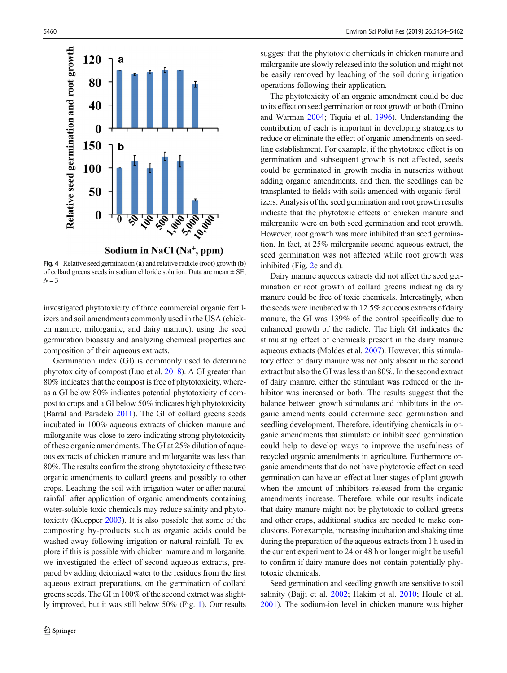<span id="page-6-0"></span>

Fig. 4 Relative seed germination (a) and relative radicle (root) growth (b) of collard greens seeds in sodium chloride solution. Data are mean ± SE,  $N = 3$ 

investigated phytotoxicity of three commercial organic fertilizers and soil amendments commonly used in the USA (chicken manure, milorganite, and dairy manure), using the seed germination bioassay and analyzing chemical properties and composition of their aqueous extracts.

Germination index (GI) is commonly used to determine phytotoxicity of compost (Luo et al. [2018](#page-8-0)). A GI greater than 80% indicates that the compost is free of phytotoxicity, whereas a GI below 80% indicates potential phytotoxicity of compost to crops and a GI below 50% indicates high phytotoxicity (Barral and Paradelo [2011\)](#page-8-0). The GI of collard greens seeds incubated in 100% aqueous extracts of chicken manure and milorganite was close to zero indicating strong phytotoxicity of these organic amendments. The GI at 25% dilution of aqueous extracts of chicken manure and milorganite was less than 80%. The results confirm the strong phytotoxicity of these two organic amendments to collard greens and possibly to other crops. Leaching the soil with irrigation water or after natural rainfall after application of organic amendments containing water-soluble toxic chemicals may reduce salinity and phytotoxicity (Kuepper [2003](#page-8-0)). It is also possible that some of the composting by-products such as organic acids could be washed away following irrigation or natural rainfall. To explore if this is possible with chicken manure and milorganite, we investigated the effect of second aqueous extracts, prepared by adding deionized water to the residues from the first aqueous extract preparations, on the germination of collard greens seeds. The GI in 100% of the second extract was slightly improved, but it was still below 50% (Fig. [1](#page-3-0)). Our results suggest that the phytotoxic chemicals in chicken manure and milorganite are slowly released into the solution and might not be easily removed by leaching of the soil during irrigation operations following their application.

The phytotoxicity of an organic amendment could be due to its effect on seed germination or root growth or both (Emino and Warman [2004](#page-8-0); Tiquia et al. [1996\)](#page-8-0). Understanding the contribution of each is important in developing strategies to reduce or eliminate the effect of organic amendments on seedling establishment. For example, if the phytotoxic effect is on germination and subsequent growth is not affected, seeds could be germinated in growth media in nurseries without adding organic amendments, and then, the seedlings can be transplanted to fields with soils amended with organic fertilizers. Analysis of the seed germination and root growth results indicate that the phytotoxic effects of chicken manure and milorganite were on both seed germination and root growth. However, root growth was more inhibited than seed germination. In fact, at 25% milorganite second aqueous extract, the seed germination was not affected while root growth was inhibited (Fig. [2](#page-4-0)c and d).

Dairy manure aqueous extracts did not affect the seed germination or root growth of collard greens indicating dairy manure could be free of toxic chemicals. Interestingly, when the seeds were incubated with 12.5% aqueous extracts of dairy manure, the GI was 139% of the control specifically due to enhanced growth of the radicle. The high GI indicates the stimulating effect of chemicals present in the dairy manure aqueous extracts (Moldes et al. [2007](#page-8-0)). However, this stimulatory effect of dairy manure was not only absent in the second extract but also the GI was less than 80%. In the second extract of dairy manure, either the stimulant was reduced or the inhibitor was increased or both. The results suggest that the balance between growth stimulants and inhibitors in the organic amendments could determine seed germination and seedling development. Therefore, identifying chemicals in organic amendments that stimulate or inhibit seed germination could help to develop ways to improve the usefulness of recycled organic amendments in agriculture. Furthermore organic amendments that do not have phytotoxic effect on seed germination can have an effect at later stages of plant growth when the amount of inhibitors released from the organic amendments increase. Therefore, while our results indicate that dairy manure might not be phytotoxic to collard greens and other crops, additional studies are needed to make conclusions. For example, increasing incubation and shaking time during the preparation of the aqueous extracts from 1 h used in the current experiment to 24 or 48 h or longer might be useful to confirm if dairy manure does not contain potentially phytotoxic chemicals.

Seed germination and seedling growth are sensitive to soil salinity (Bajji et al. [2002;](#page-8-0) Hakim et al. [2010;](#page-8-0) Houle et al. [2001\)](#page-8-0). The sodium-ion level in chicken manure was higher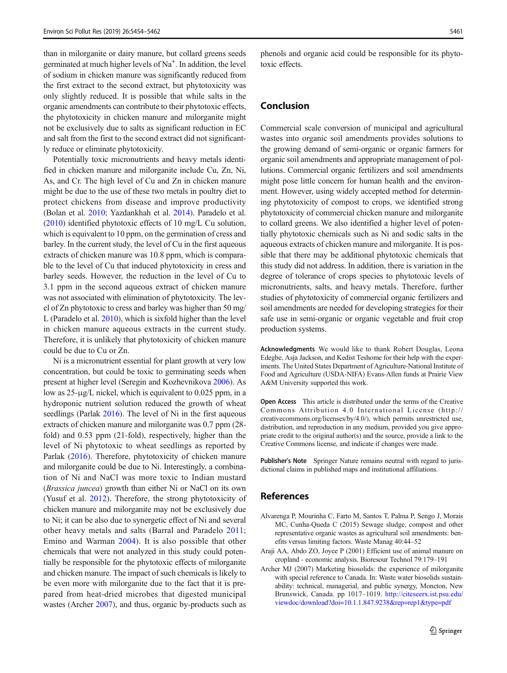<span id="page-7-0"></span>than in milorganite or dairy manure, but collard greens seeds germinated at much higher levels of Na<sup>+</sup>. In addition, the level of sodium in chicken manure was significantly reduced from the first extract to the second extract, but phytotoxicity was only slightly reduced. It is possible that while salts in the organic amendments can contribute to their phytotoxic effects, the phytotoxicity in chicken manure and milorganite might not be exclusively due to salts as significant reduction in EC and salt from the first to the second extract did not significantly reduce or eliminate phytotoxicity.

Potentially toxic micronutrients and heavy metals identified in chicken manure and milorganite include Cu, Zn, Ni, As, and Cr. The high level of Cu and Zn in chicken manure might be due to the use of these two metals in poultry diet to protect chickens from disease and improve productivity (Bolan et al. [2010](#page-8-0); Yazdankhah et al. [2014](#page-8-0)). Paradelo et al. [\(2010\)](#page-8-0) identified phytotoxic effects of 10 mg/L Cu solution, which is equivalent to 10 ppm, on the germination of cress and barley. In the current study, the level of Cu in the first aqueous extracts of chicken manure was 10.8 ppm, which is comparable to the level of Cu that induced phytotoxicity in cress and barley seeds. However, the reduction in the level of Cu to 3.1 ppm in the second aqueous extract of chicken manure was not associated with elimination of phytotoxicity. The level of Zn phytotoxic to cress and barley was higher than 50 mg/ L (Paradelo et al. [2010\)](#page-8-0), which is sixfold higher than the level in chicken manure aqueous extracts in the current study. Therefore, it is unlikely that phytotoxicity of chicken manure could be due to Cu or Zn.

Ni is a micronutrient essential for plant growth at very low concentration, but could be toxic to germinating seeds when present at higher level (Seregin and Kozhevnikova [2006](#page-8-0)). As low as 25-μg/L nickel, which is equivalent to 0.025 ppm, in a hydroponic nutrient solution reduced the growth of wheat seedlings (Parlak [2016](#page-8-0)). The level of Ni in the first aqueous extracts of chicken manure and milorganite was 0.7 ppm (28 fold) and 0.53 ppm (21-fold), respectively, higher than the level of Ni phytotoxic to wheat seedlings as reported by Parlak [\(2016\)](#page-8-0). Therefore, phytotoxicity of chicken manure and milorganite could be due to Ni. Interestingly, a combination of Ni and NaCl was more toxic to Indian mustard (Brassica juncea) growth than either Ni or NaCl on its own (Yusuf et al. [2012](#page-8-0)). Therefore, the strong phytotoxicity of chicken manure and milorganite may not be exclusively due to Ni; it can be also due to synergetic effect of Ni and several other heavy metals and salts (Barral and Paradelo [2011](#page-8-0); Emino and Warman [2004\)](#page-8-0). It is also possible that other chemicals that were not analyzed in this study could potentially be responsible for the phytotoxic effects of milorganite and chicken manure. The impact of such chemicals is likely to be even more with milorganite due to the fact that it is prepared from heat-dried microbes that digested municipal wastes (Archer 2007), and thus, organic by-products such as

phenols and organic acid could be responsible for its phytotoxic effects.

## Conclusion

Commercial scale conversion of municipal and agricultural wastes into organic soil amendments provides solutions to the growing demand of semi-organic or organic farmers for organic soil amendments and appropriate management of pollutions. Commercial organic fertilizers and soil amendments might pose little concern for human health and the environment. However, using widely accepted method for determining phytotoxicity of compost to crops, we identified strong phytotoxicity of commercial chicken manure and milorganite to collard greens. We also identified a higher level of potentially phytotoxic chemicals such as Ni and sodic salts in the aqueous extracts of chicken manure and milorganite. It is possible that there may be additional phytotoxic chemicals that this study did not address. In addition, there is variation in the degree of tolerance of crops species to phytotoxic levels of micronutrients, salts, and heavy metals. Therefore, further studies of phytotoxicity of commercial organic fertilizers and soil amendments are needed for developing strategies for their safe use in semi-organic or organic vegetable and fruit crop production systems.

Acknowledgments We would like to thank Robert Douglas, Leona Edegbe, Asja Jackson, and Kedist Teshome for their help with the experiments. The United States Department of Agriculture-National Institute of Food and Agriculture (USDA-NIFA) Evans-Allen funds at Prairie View A&M University supported this work.

Open Access This article is distributed under the terms of the Creative Commons Attribution 4.0 International License (http:// creativecommons.org/licenses/by/4.0/), which permits unrestricted use, distribution, and reproduction in any medium, provided you give appropriate credit to the original author(s) and the source, provide a link to the Creative Commons license, and indicate if changes were made.

Publisher's Note Springer Nature remains neutral with regard to jurisdictional claims in published maps and institutional affiliations.

### References

- Alvarenga P, Mourinha C, Farto M, Santos T, Palma P, Sengo J, Morais MC, Cunha-Queda C (2015) Sewage sludge, compost and other representative organic wastes as agricultural soil amendments: benefits versus limiting factors. Waste Manag 40:44–52
- Araji AA, Abdo ZO, Joyce P (2001) Efficient use of animal manure on cropland - economic analysis. Bioresour Technol 79:179–191
- Archer MJ (2007) Marketing biosolids: the experience of milorganite with special reference to Canada. In: Waste water biosolids sustainability: technical, managerial, and public synergy, Moncton, New Brunswick, Canada. pp 1017–1019. [http://citeseerx.ist.psu.edu/](http://citeseerx.ist.psu.edu/viewdoc/download?doi=10.1.1.847.9238&rep=rep1&type=pdf) [viewdoc/download?doi=10.1.1.847.9238&rep=rep1&type=pdf](http://citeseerx.ist.psu.edu/viewdoc/download?doi=10.1.1.847.9238&rep=rep1&type=pdf)